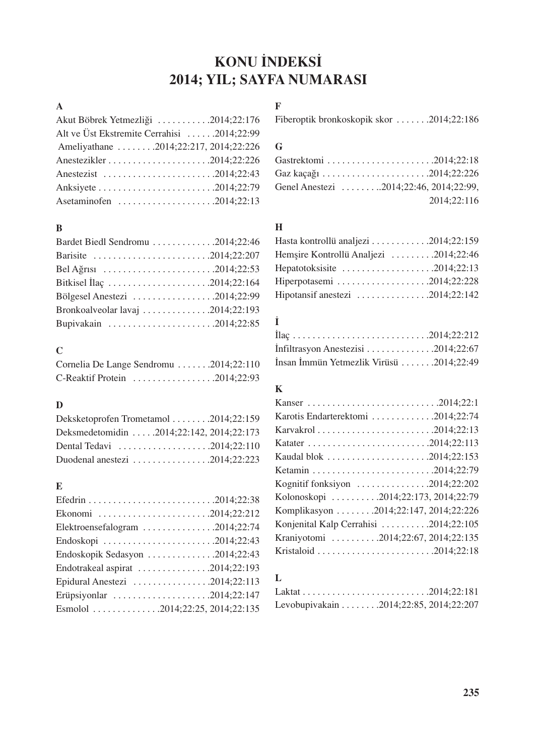# **KONU İNDEKSİ** 2014; YIL; SAYFA NUMARASI

# A

| Akut Böbrek Yetmezliği 2014;22:176         |
|--------------------------------------------|
| Alt ve Üst Ekstremite Cerrahisi 2014;22:99 |
| Ameliyathane 2014;22:217, 2014;22:226      |
|                                            |
|                                            |
|                                            |
| Asetaminofen 2014;22:13                    |

#### B

| Bardet Biedl Sendromu 2014;22:46                                   |  |
|--------------------------------------------------------------------|--|
|                                                                    |  |
| Bel Ağrısı 2014;22:53                                              |  |
| Bitkisel Ilaç 2014;22:164                                          |  |
| Bölgesel Anestezi $\dots \dots \dots \dots \dots \dots 2014;22:99$ |  |
| Bronkoalveolar lavaj $\dots \dots \dots \dots \dots 2014;22:193$   |  |
|                                                                    |  |

# C

| Cornelia De Lange Sendromu 2014;22:110 |  |  |
|----------------------------------------|--|--|
|                                        |  |  |

#### D

| Deksketoprofen Trometamol 2014;22:159                                 |  |
|-----------------------------------------------------------------------|--|
| Deksmedetomidin 2014;22:142, 2014;22:173                              |  |
| Dental Tedavi $\dots \dots \dots \dots \dots \dots \dots 2014;22:110$ |  |
| Duodenal anestezi $\dots \dots \dots \dots \dots \dots 2014;22:223$   |  |

## E

| Ekonomi 2014;22:212                                                 |
|---------------------------------------------------------------------|
| Elektroensefalogram 2014;22:74                                      |
|                                                                     |
| Endoskopik Sedasyon 2014;22:43                                      |
| Endotrakeal aspirat 2014;22:193                                     |
| Epidural Anestezi $\dots \dots \dots \dots \dots \dots 2014;22:113$ |
| Erüpsiyonlar 2014;22:147                                            |
| Esmolol 2014;22:25, 2014;22:135                                     |

# F

Fiberoptik bronkoskopik skor . . . . . . .2014;22:186

## G

| Genel Anestezi 2014;22:46, 2014;22:99, |
|----------------------------------------|
| 2014;22:116                            |

### H

| Hasta kontrollü analjezi 2014;22:159                                           |  |
|--------------------------------------------------------------------------------|--|
| Hemsire Kontrollü Analjezi 2014;22:46                                          |  |
| Hepatotoksisite $\ldots \ldots \ldots \ldots \ldots \ldots$ . 2014;22:13       |  |
| Hiperpotasemi $\ldots \ldots \ldots \ldots \ldots \ldots \ldots$ . 2014;22:228 |  |
| Hipotansif anestezi $\dots \dots \dots \dots \dots \dots 2014;22:142$          |  |

# ‹

| Infiltrasyon Anestezisi $\ldots \ldots \ldots \ldots \ldots$ 2014;22:67 |  |  |
|-------------------------------------------------------------------------|--|--|
| İnsan İmmün Yetmezlik Virüsü 2014;22:49                                 |  |  |

## K

| Karotis Endarterektomi 2014;22:74       |
|-----------------------------------------|
|                                         |
|                                         |
|                                         |
|                                         |
| Kognitif fonksiyon 2014;22:202          |
| Kolonoskopi 2014;22:173, 2014;22:79     |
| Komplikasyon  .2014;22:147, 2014;22:226 |
| Konjenital Kalp Cerrahisi 2014;22:105   |
| Kraniyotomi 2014;22:67, 2014;22:135     |
|                                         |
|                                         |

## L

|  | Levobupivakain 2014;22:85, 2014;22:207 |
|--|----------------------------------------|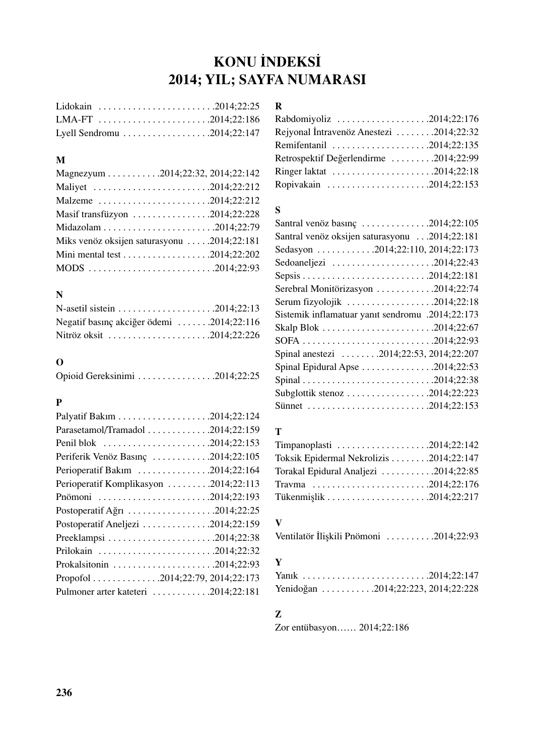# **KONU İNDEKSİ** 2014; YIL; SAYFA NUMARASI

| Lyell Sendromu 2014;22:147 |  |
|----------------------------|--|

#### M

| Magnezyum 2014;22:32, 2014;22:142                   |
|-----------------------------------------------------|
| Maliyet 2014;22:212                                 |
| Malzeme 2014;22:212                                 |
| Masif transfüzyon 2014;22:228                       |
|                                                     |
| Miks venöz oksijen saturasyonu $\dots$ .2014;22:181 |
|                                                     |
|                                                     |

### N

| Negatif basınç akciğer ödemi 2014;22:116 |  |
|------------------------------------------|--|
| Nitröz oksit 2014;22:226                 |  |

### O

| Opioid Gereksinimi 2014;22:25 |  |  |
|-------------------------------|--|--|
|                               |  |  |

## P

| Parasetamol/Tramadol 2014;22:159      |
|---------------------------------------|
| Penil blok 2014;22:153                |
| Periferik Venöz Basınç 2014;22:105    |
| Perioperatif Bakım 2014;22:164        |
| Perioperatif Komplikasyon 2014;22:113 |
| Pnömoni 2014;22:193                   |
| Postoperatif Ağrı 2014;22:25          |
| Postoperatif Aneljezi 2014;22:159     |
|                                       |
|                                       |
|                                       |
| Propofol 2014;22:79, 2014;22:173      |
| Pulmoner arter kateteri 2014;22:181   |

#### R

| Rabdomiyoliz 2014;22:176                |  |
|-----------------------------------------|--|
| Rejyonal İntravenöz Anestezi 2014;22:32 |  |
| Remifentanil 2014;22:135                |  |
| Retrospektif Değerlendirme 2014;22:99   |  |
|                                         |  |
| Ropivakain 2014;22:153                  |  |

## S

| Santral venöz basınç 2014;22:105                 |
|--------------------------------------------------|
| Santral venöz oksijen saturasyonu  2014;22:181   |
| Sedasyon 2014;22:110, 2014;22:173                |
| Sedoaneljezi 2014;22:43                          |
|                                                  |
| Serebral Monitörizasyon 2014;22:74               |
| Serum fizyolojik 2014;22:18                      |
| Sistemik inflamatuar yanıt sendromu .2014;22:173 |
|                                                  |
|                                                  |
| Spinal anestezi 2014;22:53, 2014;22:207          |
| Spinal Epidural Apse 2014;22:53                  |
|                                                  |
|                                                  |
| Sünnet 2014;22:153                               |
|                                                  |

### T

| Timpanoplasti $\ldots \ldots \ldots \ldots \ldots \ldots \ldots$ . 2014;22:142 |  |
|--------------------------------------------------------------------------------|--|
| Toksik Epidermal Nekrolizis 2014;22:147                                        |  |
| Torakal Epidural Analjezi 2014;22:85                                           |  |
|                                                                                |  |
|                                                                                |  |

### V

Ventilatör İlişkili Pnömoni . . . . . . . . . . . 2014;22:93

## Y

| Yenidoğan 2014;22:223, 2014;22:228 |
|------------------------------------|

## Z

Zor entübasyon…… 2014;22:186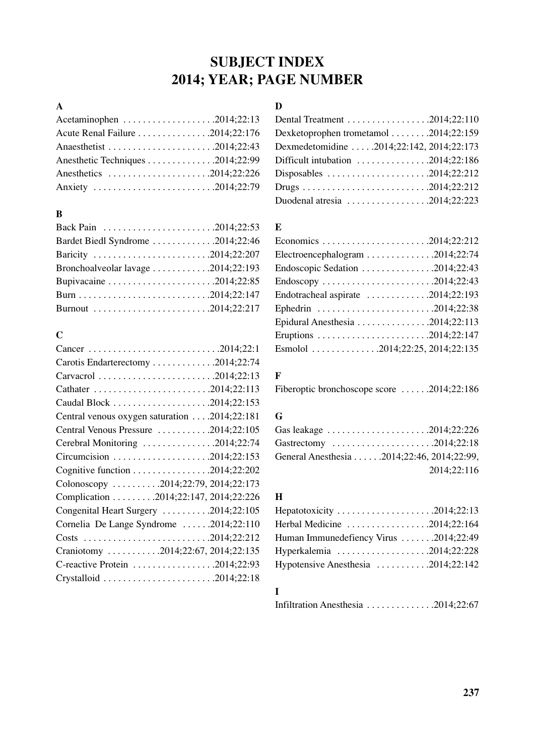# SUBJECT INDEX 2014; YEAR; PAGE NUMBER

#### A

| Acetaminophen 2014;22:13         |  |
|----------------------------------|--|
| Acute Renal Failure 2014;22:176  |  |
|                                  |  |
| Anesthetic Techniques 2014;22:99 |  |
| Anesthetics 2014;22:226          |  |
| Anxiety 2014;22:79               |  |

#### B

| Bardet Biedl Syndrome 2014;22:46   |  |
|------------------------------------|--|
| Baricity 2014;22:207               |  |
| Bronchoalveolar lavage 2014;22:193 |  |
|                                    |  |
|                                    |  |
| Burnout 2014;22:217                |  |

## C

| Cancer 2014;22:1                             |
|----------------------------------------------|
| Carotis Endarterectomy 2014;22:74            |
| Carvacrol 2014;22:13                         |
|                                              |
|                                              |
| Central venous oxygen saturation 2014;22:181 |
| Central Venous Pressure 2014;22:105          |
| Cerebral Monitoring 2014;22:74               |
|                                              |
|                                              |
| Colonoscopy 2014;22:79, 2014;22:173          |
| Complication 2014;22:147, 2014;22:226        |
| Congenital Heart Surgery 2014;22:105         |
| Cornelia De Lange Syndrome 2014;22:110       |
| Costs 2014;22:212                            |
| Craniotomy 2014;22:67, 2014;22:135           |
| C-reactive Protein 2014;22:93                |
|                                              |
|                                              |

## $\mathbf{D}$

| Dexketoprophen trometamol 2014;22:159                                      |  |
|----------------------------------------------------------------------------|--|
| Dexmedetomidine  .2014;22:142, 2014;22:173                                 |  |
| Difficult intubation $\dots \dots \dots \dots \dots 2014;22:186$           |  |
| Disposables 2014;22:212                                                    |  |
|                                                                            |  |
| Duodenal atresia $\ldots \ldots \ldots \ldots \ldots \ldots$ . 2014;22:223 |  |

#### E

| Economics 2014;22:212                                                |
|----------------------------------------------------------------------|
| Electroencephalogram 2014;22:74                                      |
| Endoscopic Sedation $\ldots \ldots \ldots \ldots \ldots$ .2014;22:43 |
| Endoscopy 2014;22:43                                                 |
| Endotracheal aspirate $\dots \dots \dots \dots \dots 2014;22:193$    |
|                                                                      |
| Epidural Anesthesia 2014;22:113                                      |
|                                                                      |
| Esmolol 2014;22:25, 2014;22:135                                      |
|                                                                      |

## F

Fiberoptic bronchoscope score . . . . . .2014;22:186

#### G

| Gas leakage 2014;22:226                    |
|--------------------------------------------|
| Gastrectomy 2014;22:18                     |
| General Anesthesia 2014;22:46, 2014;22:99, |
| 2014;22:116                                |

### H

| Hepatotoxicity 2014;22:13               |  |
|-----------------------------------------|--|
| Herbal Medicine 2014;22:164             |  |
| Human Immunedefiency Virus  .2014;22:49 |  |
| Hyperkalemia 2014;22:228                |  |
| Hypotensive Anesthesia 2014;22:142      |  |

## I

```
Infiltration Anesthesia . . . . . . . . . . . . . .2014;22:67
```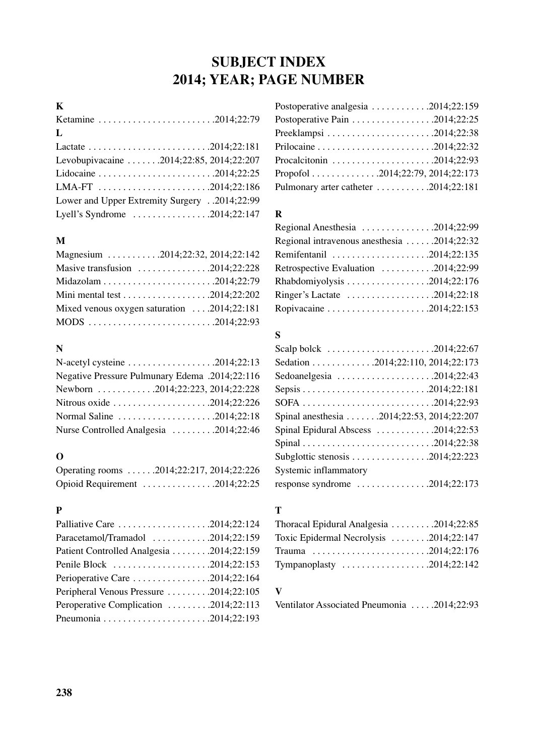# SUBJECT INDEX 2014; YEAR; PAGE NUMBER

# K

| Ketamine 2014;22:79                                                                 |  |
|-------------------------------------------------------------------------------------|--|
| L                                                                                   |  |
|                                                                                     |  |
| Levobupivacaine  2014;22:85, 2014;22:207                                            |  |
|                                                                                     |  |
| LMA-FT $\ldots \ldots \ldots \ldots \ldots \ldots \ldots \ldots \ldots 2014;22:186$ |  |
| Lower and Upper Extremity Surgery2014;22:99                                         |  |
| Lyell's Syndrome 2014;22:147                                                        |  |

#### M

| Magnesium 2014;22:32, 2014;22:142                              |
|----------------------------------------------------------------|
| Masive transfusion $\dots \dots \dots \dots \dots 2014;22:228$ |
|                                                                |
|                                                                |
| Mixed venous oxygen saturation  .2014;22:181                   |
|                                                                |

#### N

| N-acetyl cysteine $\dots \dots \dots \dots \dots \dots \dots 2014;22:13$ |
|--------------------------------------------------------------------------|
| Negative Pressure Pulmunary Edema .2014;22:116                           |
| Newborn 2014;22:223, 2014;22:228                                         |
| Nitrous oxide 2014;22:226                                                |
| Normal Saline 2014;22:18                                                 |
| Nurse Controlled Analgesia  2014;22:46                                   |

### O

| Operating rooms 2014;22:217, 2014;22:226                      |
|---------------------------------------------------------------|
| Opioid Requirement $\dots \dots \dots \dots \dots 2014;22:25$ |

#### P

| Palliative Care 2014;22:124                                    |
|----------------------------------------------------------------|
| Paracetamol/Tramadol 2014;22:159                               |
| Patient Controlled Analgesia 2014;22:159                       |
| Penile Block 2014;22:153                                       |
| Perioperative Care $\dots \dots \dots \dots \dots 2014;22:164$ |
| Peripheral Venous Pressure 2014;22:105                         |
| Peroperative Complication 2014;22:113                          |
|                                                                |
|                                                                |

| Postoperative analgesia $\ldots \ldots \ldots \ldots 2014;22:159$            |
|------------------------------------------------------------------------------|
| Postoperative Pain $\ldots \ldots \ldots \ldots \ldots \ldots$ 2014;22:25    |
|                                                                              |
|                                                                              |
| Procalcitonin $\ldots \ldots \ldots \ldots \ldots \ldots \ldots$ .2014;22:93 |
| Propofol 2014;22:79, 2014;22:173                                             |
| Pulmonary arter catheter $\dots \dots \dots \dots 2014;22:181$               |

#### R

| Regional Anesthesia $\ldots \ldots \ldots \ldots \ldots$ 2014;22:99         |  |
|-----------------------------------------------------------------------------|--|
|                                                                             |  |
| Remifentanil $\ldots \ldots \ldots \ldots \ldots \ldots \ldots 2014;22:135$ |  |
| Retrospective Evaluation $\dots \dots \dots \dots 2014;22:99$               |  |
| Rhabdomiyolysis $\ldots \ldots \ldots \ldots \ldots \ldots 2014;22:176$     |  |
| Ringer's Lactate 2014;22:18                                                 |  |
|                                                                             |  |

# S

| Scalp bolck 2014;22:67                                                 |
|------------------------------------------------------------------------|
| Sedation 2014;22:110, 2014;22:173                                      |
| Sedoanelgesia 2014;22:43                                               |
|                                                                        |
|                                                                        |
| Spinal anesthesia 2014;22:53, 2014;22:207                              |
| Spinal Epidural Abscess $\dots \dots \dots \dots 2014;22:53$           |
|                                                                        |
| Subglottic stenosis $\ldots \ldots \ldots \ldots \ldots$ . 2014;22:223 |
| Systemic inflammatory                                                  |
| response syndrome $\ldots \ldots \ldots \ldots \ldots 2014;22:173$     |
|                                                                        |

### T

| Thoracal Epidural Analgesia 2014;22:85 |  |
|----------------------------------------|--|
| Toxic Epidermal Necrolysis 2014;22:147 |  |
|                                        |  |
| Tympanoplasty 2014;22:142              |  |

#### V

Ventilator Associated Pneumonia . . . . .2014;22:93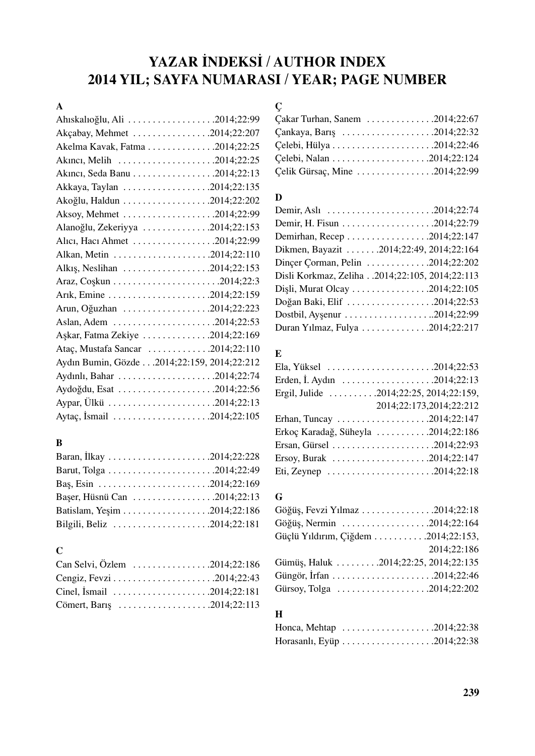# YAZAR İNDEKSİ / AUTHOR INDEX 2014 YIL; SAYFA NUMARASI / YEAR; PAGE NUMBER

### A

| Ahıskalıoğlu, Ali 2014;22:99                |
|---------------------------------------------|
| Akçabay, Mehmet 2014;22:207                 |
| Akelma Kavak, Fatma 2014;22:25              |
| Akinci, Melih 2014;22:25                    |
|                                             |
| Akkaya, Taylan 2014;22:135                  |
|                                             |
| Aksoy, Mehmet 2014;22:99                    |
| Alanoğlu, Zekeriyya 2014;22:153             |
| Alici, Haci Ahmet 2014;22:99                |
|                                             |
| Alkış, Neslihan 2014;22:153                 |
|                                             |
|                                             |
| Arun, Oğuzhan 2014;22:223                   |
|                                             |
| Aşkar, Fatma Zekiye 2014;22:169             |
| Ataç, Mustafa Sancar 2014;22:110            |
| Aydın Bumin, Gözde 2014;22:159, 2014;22:212 |
|                                             |
|                                             |
|                                             |
| Aytaç, İsmail 2014;22:105                   |

# B

| Başer, Hüsnü Can 2014;22:13 |  |
|-----------------------------|--|
|                             |  |
| Bilgili, Beliz 2014;22:181  |  |

#### C

| Can Selvi, Özlem 2014;22:186 |  |
|------------------------------|--|
|                              |  |
| Cinel, İsmail 2014;22:181    |  |
| Cömert, Barış 2014;22:113    |  |

# Ç

| Cakar Turhan, Sanem $\dots \dots \dots \dots \dots 2014;22:67$        |  |
|-----------------------------------------------------------------------|--|
| Çankaya, Barış $\dots \dots \dots \dots \dots \dots \dots 2014;22:32$ |  |
|                                                                       |  |
|                                                                       |  |
| Celik Gürsaç, Mine 2014;22:99                                         |  |

#### $\mathbf D$

| Demir, Aslı 2014;22:74                                     |  |
|------------------------------------------------------------|--|
|                                                            |  |
|                                                            |  |
| Dikmen, Bayazit 2014;22:49, 2014;22:164                    |  |
| Dinçer Çorman, Pelin $\dots \dots \dots \dots 2014;22:202$ |  |
| Disli Korkmaz, Zeliha2014;22:105, 2014;22:113              |  |
| Dişli, Murat Olcay 2014;22:105                             |  |
|                                                            |  |
|                                                            |  |
| Duran Yılmaz, Fulya 2014;22:217                            |  |

#### E

| Ela, Yüksel 2014;22:53                                                      |
|-----------------------------------------------------------------------------|
|                                                                             |
| Ergil, Julide $\ldots \ldots \ldots 2014;22:25,2014;22:159$ ,               |
| 2014;22:173,2014;22:212                                                     |
| Erhan, Tuncay 2014;22:147                                                   |
| Erkoç Karadağ, Süheyla 2014;22:186                                          |
|                                                                             |
| Ersoy, Burak $\ldots \ldots \ldots \ldots \ldots \ldots \ldots 2014;22:147$ |
| Eti, Zeynep 2014;22:18                                                      |

### G

| Göğüş, Fevzi Yılmaz 2014;22:18       |             |
|--------------------------------------|-------------|
| Göğüş, Nermin 2014;22:164            |             |
| Güçlü Yıldırım, Çiğdem 2014;22:153,  |             |
|                                      | 2014;22:186 |
| Gümüş, Haluk 2014;22:25, 2014;22:135 |             |
| Güngör, İrfan 2014;22:46             |             |
| Gürsoy, Tolga 2014;22:202            |             |

#### H

| Honca, Mehtap $\dots \dots \dots \dots \dots \dots \dots 2014;22:38$ |  |  |  |  |  |  |  |  |  |  |  |  |
|----------------------------------------------------------------------|--|--|--|--|--|--|--|--|--|--|--|--|
|                                                                      |  |  |  |  |  |  |  |  |  |  |  |  |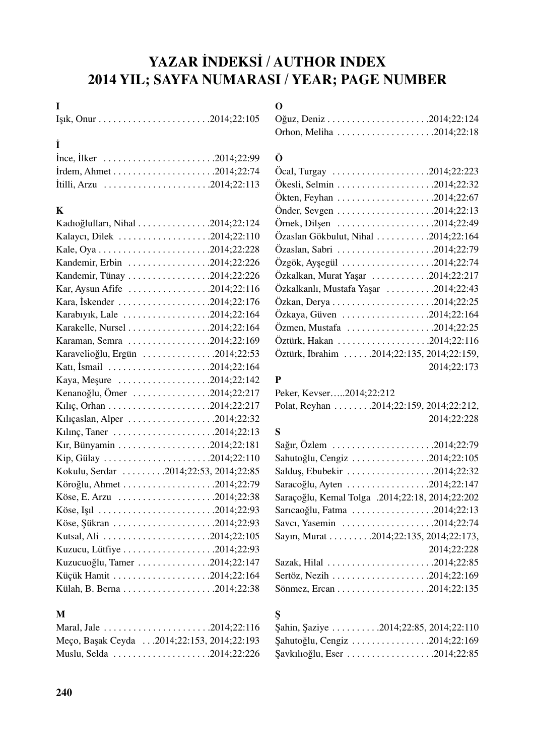# YAZAR İNDEKSİ / AUTHOR INDEX 2014 YIL; SAYFA NUMARASI / YEAR; PAGE NUMBER

## I

# ‹

| Ince, Ilker 2014;22:99   |  |
|--------------------------|--|
|                          |  |
| İtilli, Arzu 2014;22:113 |  |

## K

| Kadıoğlulları, Nihal 2014;22:124      |  |
|---------------------------------------|--|
| Kalaycı, Dilek 2014;22:110            |  |
|                                       |  |
| Kandemir, Erbin 2014;22:226           |  |
|                                       |  |
| Kar, Aysun Afife 2014;22:116          |  |
| Kara, İskender 2014;22:176            |  |
| Karabıyık, Lale 2014;22:164           |  |
|                                       |  |
| Karaman, Semra 2014;22:169            |  |
| Karavelioğlu, Ergün 2014;22:53        |  |
| Katı, İsmail 2014;22:164              |  |
| Kaya, Meşure 2014;22:142              |  |
| Kenanoğlu, Ömer 2014;22:217           |  |
|                                       |  |
| Kılıçaslan, Alper 2014;22:32          |  |
|                                       |  |
|                                       |  |
| Kip, Gülay 2014;22:110                |  |
| Kokulu, Serdar 2014;22:53, 2014;22:85 |  |
|                                       |  |
|                                       |  |
| Köse, Işıl 2014;22:93                 |  |
|                                       |  |
|                                       |  |
|                                       |  |
| Kuzucuoğlu, Tamer 2014;22:147         |  |
|                                       |  |
|                                       |  |
|                                       |  |

### M

| Meço, Başak Ceyda 2014;22:153, 2014;22:193 |  |
|--------------------------------------------|--|
| Muslu, Selda 2014;22:226                   |  |

## O

| Orhon, Meliha 2014;22:18 |  |
|--------------------------|--|

## Ö

| Ocal, Turgay 2014;22:223                                                        |             |
|---------------------------------------------------------------------------------|-------------|
|                                                                                 |             |
|                                                                                 |             |
|                                                                                 |             |
| Örnek, Dilşen 2014;22:49                                                        |             |
| Özaslan Gökbulut, Nihal 2014;22:164                                             |             |
|                                                                                 |             |
| Özgök, Ayşegül 2014;22:74                                                       |             |
| Özkalkan, Murat Yaşar 2014;22:217                                               |             |
| Özkalkanlı, Mustafa Yaşar  .2014;22:43                                          |             |
|                                                                                 |             |
|                                                                                 |             |
| $Oz$ men, Mustafa $\ldots \ldots \ldots \ldots \ldots \ldots \ldots 2014;22:25$ |             |
|                                                                                 |             |
| Öztürk, İbrahim 2014;22:135, 2014;22:159,                                       |             |
|                                                                                 | 2014;22:173 |

# P

Peker, Kevser…..2014;22:212

```
Polat, Reyhan . . . . . . . .2014;22:159, 2014;22:212, 
                           2014;22:228
```
#### S

| Sahutoğlu, Cengiz 2014;22:105                   |
|-------------------------------------------------|
|                                                 |
|                                                 |
| Saraçoğlu, Kemal Tolga .2014;22:18, 2014;22:202 |
| Sarıcaoğlu, Fatma 2014;22:13                    |
| Savcı, Yasemin 2014;22:74                       |
| Sayın, Murat 2014;22:135, 2014;22:173,          |
| 2014;22:228                                     |
|                                                 |
|                                                 |
|                                                 |

## fi

| Sahin, Saziye 2014;22:85, 2014;22:110 |
|---------------------------------------|
| Sahutoğlu, Cengiz 2014;22:169         |
|                                       |